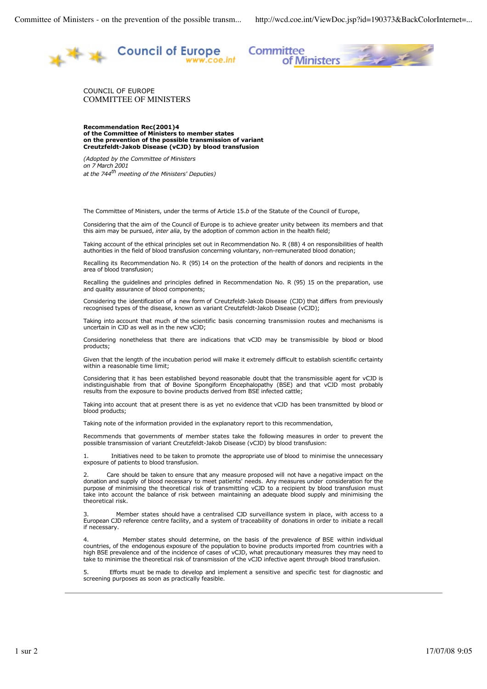

Committee ittee<br>of Ministers

COUNCIL OF EUROPE COMMITTEE OF MINISTERS

**Recommendation Rec(2001)4 of the Committee of Ministers to member states on the prevention of the possible transmission of variant Creutzfeldt-Jakob Disease (vCJD) by blood transfusion**

*(Adopted by the Committee of Ministers on 7 March 2001 at the 744th meeting of the Ministers' Deputies)*

The Committee of Ministers, under the terms of Article 15.*b* of the Statute of the Council of Europe,

Considering that the aim of the Council of Europe is to achieve greater unity between its members and that this aim may be pursued, *inter alia*, by the adoption of common action in the health field;

Taking account of the ethical principles set out in Recommendation No. R (88) 4 on responsibilities of health authorities in the field of blood transfusion concerning voluntary, non-remunerated blood donation;

Recalling its Recommendation No. R (95) 14 on the protection of the health of donors and recipients in the area of blood transfusion;

Recalling the guidelines and principles defined in Recommendation No. R (95) 15 on the preparation, use and quality assurance of blood components;

Considering the identification of a new form of Creutzfeldt-Jakob Disease (CJD) that differs from previously recognised types of the disease, known as variant Creutzfeldt-Jakob Disease (vCJD);

Taking into account that much of the scientific basis concerning transmission routes and mechanisms is uncertain in CJD as well as in the new vCJD;

Considering nonetheless that there are indications that vCJD may be transmissible by blood or blood products;

Given that the length of the incubation period will make it extremely difficult to establish scientific certainty within a reasonable time limit:

Considering that it has been established beyond reasonable doubt that the transmissible agent for vCJD is indistinguishable from that of Bovine Spongiform Encephalopathy (BSE) and that vCJD most probably results from the exposure to bovine products derived from BSE infected cattle;

Taking into account that at present there is as yet no evidence that vCJD has been transmitted by blood or blood products;

Taking note of the information provided in the explanatory report to this recommendation,

Recommends that governments of member states take the following measures in order to prevent the possible transmission of variant Creutzfeldt-Jakob Disease (vCJD) by blood transfusion:

1. Initiatives need to be taken to promote the appropriate use of blood to minimise the unnecessary exposure of patients to blood transfusion.

Care should be taken to ensure that any measure proposed will not have a negative impact on the donation and supply of blood necessary to meet patients' needs. Any measures under consideration for the purpose of minimising the theoretical risk of transmitting vCJD to a recipient by blood transfusion must take into account the balance of risk between maintaining an adequate blood supply and minimising the theoretical risk.

Member states should have a centralised CJD surveillance system in place, with access to a European CJD reference centre facility, and a system of traceability of donations in order to initiate a recall if necessary.

Member states should determine, on the basis of the prevalence of BSE within individual countries, of the endogenous exposure of the population to bovine products imported from countries with a high BSE prevalence and of the incidence of cases of vCJD, what precautionary measures they may need to take to minimise the theoretical risk of transmission of the vCJD infective agent through blood transfusion.

Efforts must be made to develop and implement a sensitive and specific test for diagnostic and screening purposes as soon as practically feasible.